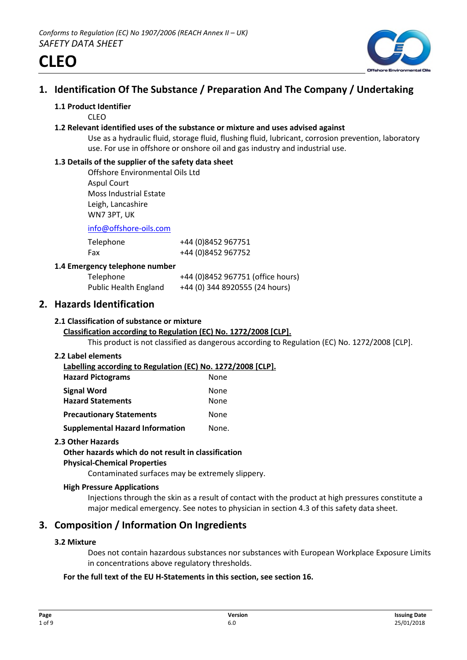

# **1. Identification Of The Substance / Preparation And The Company / Undertaking**

## **1.1 Product Identifier**

CLEO

#### **1.2 Relevant identified uses of the substance or mixture and uses advised against**

Use as a hydraulic fluid, storage fluid, flushing fluid, lubricant, corrosion prevention, laboratory use. For use in offshore or onshore oil and gas industry and industrial use.

## **1.3 Details of the supplier of the safety data sheet**

Offshore Environmental Oils Ltd Aspul Court Moss Industrial Estate Leigh, Lancashire WN7 3PT, UK

info@offshore-oils.com

| Telephone | +44 (0)8452 967751 |
|-----------|--------------------|
| Fax       | +44 (0)8452 967752 |

## **1.4 Emergency telephone number**

| Telephone                    | +44 (0)8452 967751 (office hours) |
|------------------------------|-----------------------------------|
| <b>Public Health England</b> | +44 (0) 344 8920555 (24 hours)    |

# **2. Hazards Identification**

## **2.1 Classification of substance or mixture**

# **Classification according to Regulation (EC) No. 1272/2008 [CLP].**

This product is not classified as dangerous according to Regulation (EC) No. 1272/2008 [CLP].

#### **2.2 Label elements**

**Labelling according to Regulation (EC) No. 1272/2008 [CLP]. Hazard Pictograms** None **Signal Word** None

| <u>UINIUI ITUIV</u>                    | .     |
|----------------------------------------|-------|
| <b>Hazard Statements</b>               | None  |
| <b>Precautionary Statements</b>        | None  |
| <b>Supplemental Hazard Information</b> | None. |

# **2.3 Other Hazards**

# **Other hazards which do not result in classification**

# **Physical-Chemical Properties**

Contaminated surfaces may be extremely slippery.

#### **High Pressure Applications**

Injections through the skin as a result of contact with the product at high pressures constitute a major medical emergency. See notes to physician in section 4.3 of this safety data sheet.

# **3. Composition / Information On Ingredients**

# **3.2 Mixture**

Does not contain hazardous substances nor substances with European Workplace Exposure Limits in concentrations above regulatory thresholds.

# **For the full text of the EU H-Statements in this section, see section 16.**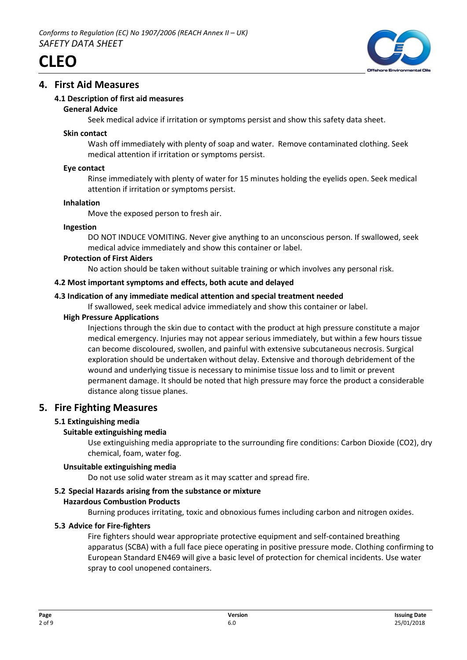



# **4. First Aid Measures**

# **4.1 Description of first aid measures**

## **General Advice**

Seek medical advice if irritation or symptoms persist and show this safety data sheet.

## **Skin contact**

Wash off immediately with plenty of soap and water. Remove contaminated clothing. Seek medical attention if irritation or symptoms persist.

## **Eye contact**

Rinse immediately with plenty of water for 15 minutes holding the eyelids open. Seek medical attention if irritation or symptoms persist.

## **Inhalation**

Move the exposed person to fresh air.

## **Ingestion**

DO NOT INDUCE VOMITING. Never give anything to an unconscious person. If swallowed, seek medical advice immediately and show this container or label.

## **Protection of First Aiders**

No action should be taken without suitable training or which involves any personal risk.

## **4.2 Most important symptoms and effects, both acute and delayed**

# **4.3 Indication of any immediate medical attention and special treatment needed**

If swallowed, seek medical advice immediately and show this container or label.

## **High Pressure Applications**

Injections through the skin due to contact with the product at high pressure constitute a major medical emergency. Injuries may not appear serious immediately, but within a few hours tissue can become discoloured, swollen, and painful with extensive subcutaneous necrosis. Surgical exploration should be undertaken without delay. Extensive and thorough debridement of the wound and underlying tissue is necessary to minimise tissue loss and to limit or prevent permanent damage. It should be noted that high pressure may force the product a considerable distance along tissue planes.

# **5. Fire Fighting Measures**

# **5.1 Extinguishing media**

# **Suitable extinguishing media**

Use extinguishing media appropriate to the surrounding fire conditions: Carbon Dioxide (CO2), dry chemical, foam, water fog.

# **Unsuitable extinguishing media**

Do not use solid water stream as it may scatter and spread fire.

# **5.2 Special Hazards arising from the substance or mixture**

# **Hazardous Combustion Products**

Burning produces irritating, toxic and obnoxious fumes including carbon and nitrogen oxides.

# **5.3 Advice for Fire-fighters**

Fire fighters should wear appropriate protective equipment and self-contained breathing apparatus (SCBA) with a full face piece operating in positive pressure mode. Clothing confirming to European Standard EN469 will give a basic level of protection for chemical incidents. Use water spray to cool unopened containers.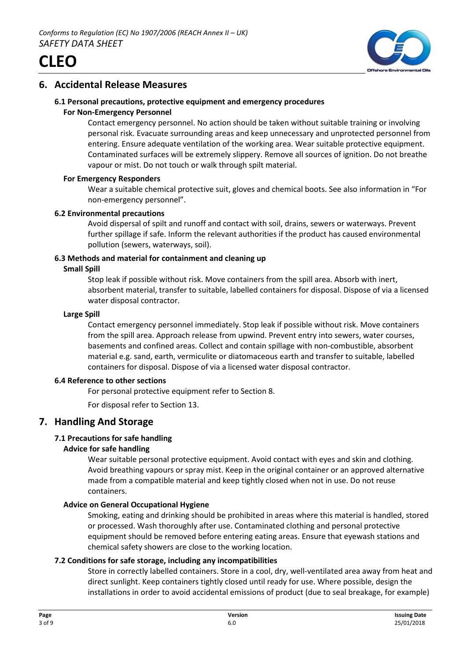



# **6. Accidental Release Measures**

# **6.1 Personal precautions, protective equipment and emergency procedures**

## **For Non-Emergency Personnel**

Contact emergency personnel. No action should be taken without suitable training or involving personal risk. Evacuate surrounding areas and keep unnecessary and unprotected personnel from entering. Ensure adequate ventilation of the working area. Wear suitable protective equipment. Contaminated surfaces will be extremely slippery. Remove all sources of ignition. Do not breathe vapour or mist. Do not touch or walk through spilt material.

## **For Emergency Responders**

Wear a suitable chemical protective suit, gloves and chemical boots. See also information in "For non-emergency personnel".

## **6.2 Environmental precautions**

Avoid dispersal of spilt and runoff and contact with soil, drains, sewers or waterways. Prevent further spillage if safe. Inform the relevant authorities if the product has caused environmental pollution (sewers, waterways, soil).

# **6.3 Methods and material for containment and cleaning up**

## **Small Spill**

Stop leak if possible without risk. Move containers from the spill area. Absorb with inert, absorbent material, transfer to suitable, labelled containers for disposal. Dispose of via a licensed water disposal contractor.

## **Large Spill**

Contact emergency personnel immediately. Stop leak if possible without risk. Move containers from the spill area. Approach release from upwind. Prevent entry into sewers, water courses, basements and confined areas. Collect and contain spillage with non-combustible, absorbent material e.g. sand, earth, vermiculite or diatomaceous earth and transfer to suitable, labelled containers for disposal. Dispose of via a licensed water disposal contractor.

#### **6.4 Reference to other sections**

For personal protective equipment refer to Section 8.

For disposal refer to Section 13.

# **7. Handling And Storage**

# **7.1 Precautions for safe handling**

# **Advice for safe handling**

Wear suitable personal protective equipment. Avoid contact with eyes and skin and clothing. Avoid breathing vapours or spray mist. Keep in the original container or an approved alternative made from a compatible material and keep tightly closed when not in use. Do not reuse containers.

# **Advice on General Occupational Hygiene**

Smoking, eating and drinking should be prohibited in areas where this material is handled, stored or processed. Wash thoroughly after use. Contaminated clothing and personal protective equipment should be removed before entering eating areas. Ensure that eyewash stations and chemical safety showers are close to the working location.

# **7.2 Conditions for safe storage, including any incompatibilities**

Store in correctly labelled containers. Store in a cool, dry, well-ventilated area away from heat and direct sunlight. Keep containers tightly closed until ready for use. Where possible, design the installations in order to avoid accidental emissions of product (due to seal breakage, for example)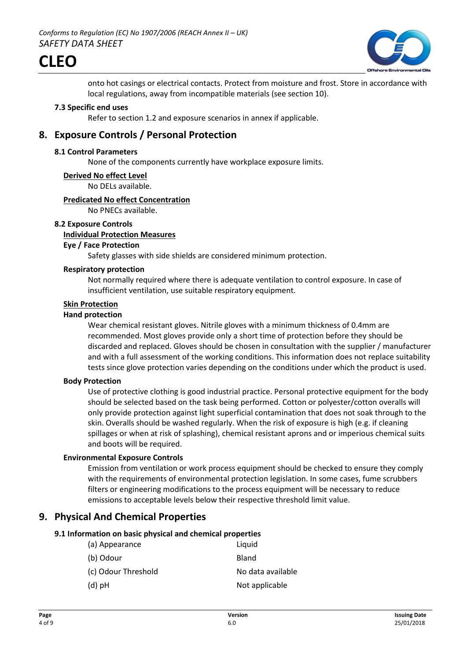

onto hot casings or electrical contacts. Protect from moisture and frost. Store in accordance with local regulations, away from incompatible materials (see section 10).

#### **7.3 Specific end uses**

Refer to section 1.2 and exposure scenarios in annex if applicable.

# **8. Exposure Controls / Personal Protection**

#### **8.1 Control Parameters**

None of the components currently have workplace exposure limits.

#### **Derived No effect Level**

No DELs available.

#### **Predicated No effect Concentration**

No PNECs available.

#### **8.2 Exposure Controls**

#### **Individual Protection Measures**

## **Eye / Face Protection**

Safety glasses with side shields are considered minimum protection.

# **Respiratory protection**

Not normally required where there is adequate ventilation to control exposure. In case of insufficient ventilation, use suitable respiratory equipment.

# **Skin Protection**

#### **Hand protection**

Wear chemical resistant gloves. Nitrile gloves with a minimum thickness of 0.4mm are recommended. Most gloves provide only a short time of protection before they should be discarded and replaced. Gloves should be chosen in consultation with the supplier / manufacturer and with a full assessment of the working conditions. This information does not replace suitability tests since glove protection varies depending on the conditions under which the product is used.

#### **Body Protection**

Use of protective clothing is good industrial practice. Personal protective equipment for the body should be selected based on the task being performed. Cotton or polyester/cotton overalls will only provide protection against light superficial contamination that does not soak through to the skin. Overalls should be washed regularly. When the risk of exposure is high (e.g. if cleaning spillages or when at risk of splashing), chemical resistant aprons and or imperious chemical suits and boots will be required.

#### **Environmental Exposure Controls**

Emission from ventilation or work process equipment should be checked to ensure they comply with the requirements of environmental protection legislation. In some cases, fume scrubbers filters or engineering modifications to the process equipment will be necessary to reduce emissions to acceptable levels below their respective threshold limit value.

# **9. Physical And Chemical Properties**

#### **9.1 Information on basic physical and chemical properties**

| (a) Appearance      | Liquid            |
|---------------------|-------------------|
| (b) Odour           | Bland             |
| (c) Odour Threshold | No data available |
| $(d)$ pH            | Not applicable    |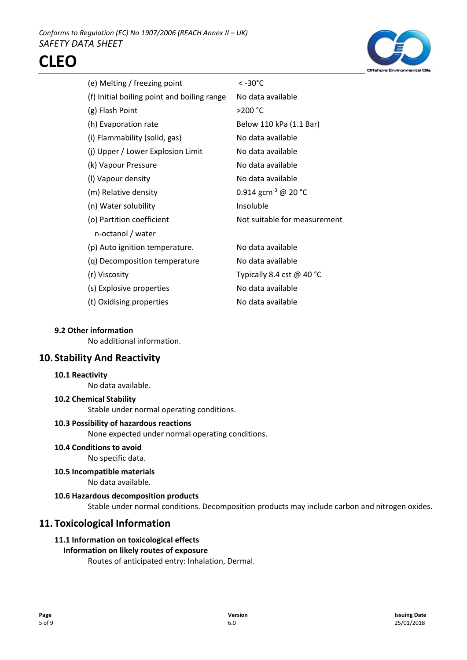

| (e) Melting / freezing point                | < -30°C                         |
|---------------------------------------------|---------------------------------|
| (f) Initial boiling point and boiling range | No data available               |
| (g) Flash Point                             | >200 °C                         |
| (h) Evaporation rate                        | Below 110 kPa (1.1 Bar)         |
| (i) Flammability (solid, gas)               | No data available               |
| (j) Upper / Lower Explosion Limit           | No data available               |
| (k) Vapour Pressure                         | No data available               |
| (I) Vapour density                          | No data available               |
| (m) Relative density                        | 0.914 gcm <sup>-3</sup> @ 20 °C |
| (n) Water solubility                        | Insoluble                       |
| (o) Partition coefficient                   | Not suitable for measurement    |
| n-octanol / water                           |                                 |
| (p) Auto ignition temperature.              | No data available               |
| (q) Decomposition temperature               | No data available               |
| (r) Viscosity                               | Typically 8.4 cst $@$ 40 °C     |
| (s) Explosive properties                    | No data available               |
| (t) Oxidising properties                    | No data available               |
|                                             |                                 |

#### **9.2 Other information**

No additional information.

# **10. Stability And Reactivity**

#### **10.1 Reactivity**

No data available.

#### **10.2 Chemical Stability**

Stable under normal operating conditions.

#### **10.3 Possibility of hazardous reactions**

None expected under normal operating conditions.

**10.4 Conditions to avoid**

No specific data.

**10.5 Incompatible materials**

No data available.

## **10.6 Hazardous decomposition products**

Stable under normal conditions. Decomposition products may include carbon and nitrogen oxides.

# **11. Toxicological Information**

# **11.1 Information on toxicological effects**

# **Information on likely routes of exposure**

Routes of anticipated entry: Inhalation, Dermal.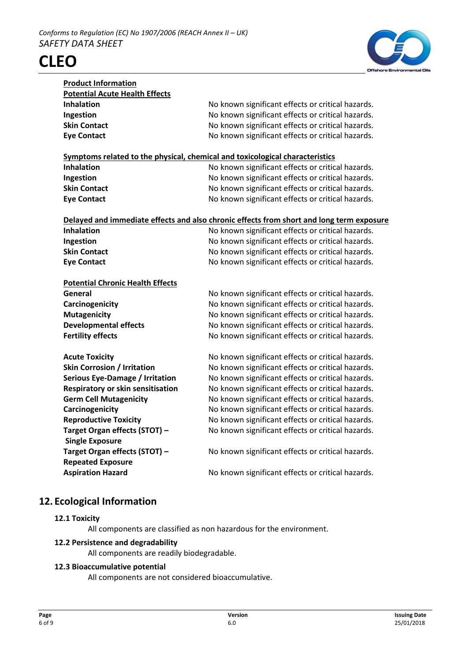

| <b>Product Information</b>                                                   |                                                                                          |
|------------------------------------------------------------------------------|------------------------------------------------------------------------------------------|
| <b>Potential Acute Health Effects</b>                                        |                                                                                          |
| <b>Inhalation</b>                                                            | No known significant effects or critical hazards.                                        |
| Ingestion                                                                    | No known significant effects or critical hazards.                                        |
| <b>Skin Contact</b>                                                          | No known significant effects or critical hazards.                                        |
| <b>Eye Contact</b>                                                           | No known significant effects or critical hazards.                                        |
|                                                                              |                                                                                          |
| Symptoms related to the physical, chemical and toxicological characteristics |                                                                                          |
| <b>Inhalation</b>                                                            | No known significant effects or critical hazards.                                        |
| Ingestion                                                                    | No known significant effects or critical hazards.                                        |
| <b>Skin Contact</b>                                                          | No known significant effects or critical hazards.                                        |
| <b>Eye Contact</b>                                                           | No known significant effects or critical hazards.                                        |
|                                                                              |                                                                                          |
|                                                                              | Delayed and immediate effects and also chronic effects from short and long term exposure |
| <b>Inhalation</b>                                                            | No known significant effects or critical hazards.                                        |
| Ingestion                                                                    | No known significant effects or critical hazards.                                        |
| <b>Skin Contact</b>                                                          | No known significant effects or critical hazards.                                        |
| <b>Eye Contact</b>                                                           | No known significant effects or critical hazards.                                        |
|                                                                              |                                                                                          |
| <b>Potential Chronic Health Effects</b>                                      |                                                                                          |
| General                                                                      | No known significant effects or critical hazards.                                        |
| Carcinogenicity                                                              | No known significant effects or critical hazards.                                        |
| <b>Mutagenicity</b>                                                          | No known significant effects or critical hazards.                                        |
| <b>Developmental effects</b>                                                 | No known significant effects or critical hazards.                                        |
| <b>Fertility effects</b>                                                     | No known significant effects or critical hazards.                                        |
| <b>Acute Toxicity</b>                                                        | No known significant effects or critical hazards.                                        |
| <b>Skin Corrosion / Irritation</b>                                           | No known significant effects or critical hazards.                                        |
| Serious Eye-Damage / Irritation                                              | No known significant effects or critical hazards.                                        |
| Respiratory or skin sensitisation                                            | No known significant effects or critical hazards.                                        |
| <b>Germ Cell Mutagenicity</b>                                                | No known significant effects or critical hazards.                                        |
| Carcinogenicity                                                              | No known significant effects or critical hazards.                                        |
| <b>Reproductive Toxicity</b>                                                 | No known significant effects or critical hazards.                                        |
| Target Organ effects (STOT) -                                                | No known significant effects or critical hazards.                                        |
|                                                                              |                                                                                          |
| <b>Single Exposure</b><br>Target Organ effects (STOT) -                      | No known significant effects or critical hazards.                                        |
|                                                                              |                                                                                          |
| <b>Repeated Exposure</b><br><b>Aspiration Hazard</b>                         |                                                                                          |
|                                                                              | No known significant effects or critical hazards.                                        |
|                                                                              |                                                                                          |

# **12. Ecological Information**

# **12.1 Toxicity**

All components are classified as non hazardous for the environment.

# **12.2 Persistence and degradability**

All components are readily biodegradable.

# **12.3 Bioaccumulative potential**

All components are not considered bioaccumulative.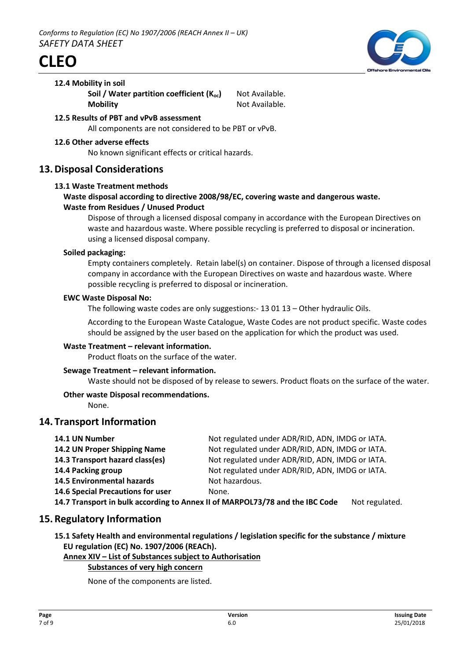



#### **12.4 Mobility in soil**

**Soil / Water partition coefficient (K<sub>oc</sub>)** Not Available. **Mobility** Not Available.

- **12.5 Results of PBT and vPvB assessment** All components are not considered to be PBT or vPvB.
- **12.6 Other adverse effects**

No known significant effects or critical hazards.

# **13.Disposal Considerations**

#### **13.1 Waste Treatment methods**

# **Waste disposal according to directive 2008/98/EC, covering waste and dangerous waste. Waste from Residues / Unused Product**

Dispose of through a licensed disposal company in accordance with the European Directives on waste and hazardous waste. Where possible recycling is preferred to disposal or incineration. using a licensed disposal company.

## **Soiled packaging:**

Empty containers completely. Retain label(s) on container. Dispose of through a licensed disposal company in accordance with the European Directives on waste and hazardous waste. Where possible recycling is preferred to disposal or incineration.

#### **EWC Waste Disposal No:**

The following waste codes are only suggestions:- 13 01 13 – Other hydraulic Oils.

According to the European Waste Catalogue, Waste Codes are not product specific. Waste codes should be assigned by the user based on the application for which the product was used.

# **Waste Treatment – relevant information.**

Product floats on the surface of the water.

# **Sewage Treatment – relevant information.**

Waste should not be disposed of by release to sewers. Product floats on the surface of the water.

# **Other waste Disposal recommendations.**

None.

# **14. Transport Information**

| 14.1 UN Number                                                                                 | Not regulated under ADR/RID, ADN, IMDG or IATA. |
|------------------------------------------------------------------------------------------------|-------------------------------------------------|
| 14.2 UN Proper Shipping Name                                                                   | Not regulated under ADR/RID, ADN, IMDG or IATA. |
| 14.3 Transport hazard class(es)                                                                | Not regulated under ADR/RID, ADN, IMDG or IATA. |
| 14.4 Packing group                                                                             | Not regulated under ADR/RID, ADN, IMDG or IATA. |
| <b>14.5 Environmental hazards</b>                                                              | Not hazardous.                                  |
| 14.6 Special Precautions for user                                                              | None.                                           |
| 14.7 Transport in bulk according to Annex II of MARPOL73/78 and the IBC Code<br>Not regulated. |                                                 |

# **15.Regulatory Information**

**15.1 Safety Health and environmental regulations / legislation specific for the substance / mixture EU regulation (EC) No. 1907/2006 (REACh).**

# **Annex XIV – List of Substances subject to Authorisation**

# **Substances of very high concern**

None of the components are listed.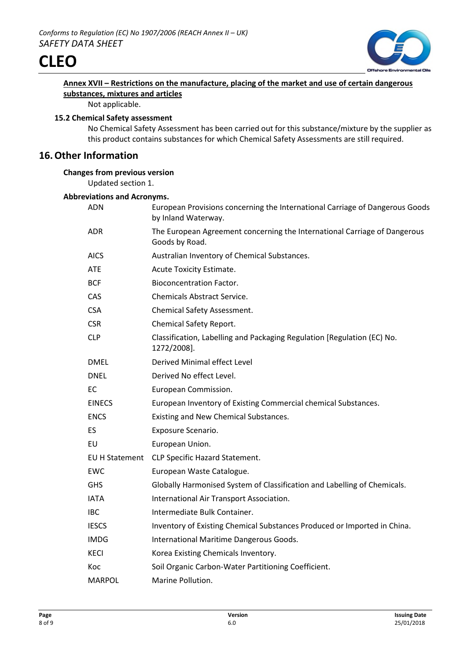



# **Annex XVII – Restrictions on the manufacture, placing of the market and use of certain dangerous substances, mixtures and articles**

Not applicable.

## **15.2 Chemical Safety assessment**

No Chemical Safety Assessment has been carried out for this substance/mixture by the supplier as this product contains substances for which Chemical Safety Assessments are still required.

# **16.Other Information**

# **Changes from previous version**

Updated section 1.

## **Abbreviations and Acronyms.**

| ADN            | European Provisions concerning the International Carriage of Dangerous Goods<br>by Inland Waterway. |
|----------------|-----------------------------------------------------------------------------------------------------|
| ADR.           | The European Agreement concerning the International Carriage of Dangerous<br>Goods by Road.         |
| <b>AICS</b>    | Australian Inventory of Chemical Substances.                                                        |
| <b>ATE</b>     | Acute Toxicity Estimate.                                                                            |
| <b>BCF</b>     | <b>Bioconcentration Factor.</b>                                                                     |
| CAS            | <b>Chemicals Abstract Service.</b>                                                                  |
| <b>CSA</b>     | <b>Chemical Safety Assessment.</b>                                                                  |
| <b>CSR</b>     | Chemical Safety Report.                                                                             |
| <b>CLP</b>     | Classification, Labelling and Packaging Regulation [Regulation (EC) No.<br>1272/2008].              |
| <b>DMEL</b>    | Derived Minimal effect Level                                                                        |
| <b>DNEL</b>    | Derived No effect Level.                                                                            |
| EC             | European Commission.                                                                                |
| <b>EINECS</b>  | European Inventory of Existing Commercial chemical Substances.                                      |
| <b>ENCS</b>    | Existing and New Chemical Substances.                                                               |
| ES             | Exposure Scenario.                                                                                  |
| EU             | European Union.                                                                                     |
| EU H Statement | CLP Specific Hazard Statement.                                                                      |
| EWC            | European Waste Catalogue.                                                                           |
| <b>GHS</b>     | Globally Harmonised System of Classification and Labelling of Chemicals.                            |
| <b>IATA</b>    | International Air Transport Association.                                                            |
| <b>IBC</b>     | Intermediate Bulk Container.                                                                        |
| <b>IESCS</b>   | Inventory of Existing Chemical Substances Produced or Imported in China.                            |
| <b>IMDG</b>    | International Maritime Dangerous Goods.                                                             |
| KECI           | Korea Existing Chemicals Inventory.                                                                 |
| Koc            | Soil Organic Carbon-Water Partitioning Coefficient.                                                 |
| <b>MARPOL</b>  | Marine Pollution.                                                                                   |
|                |                                                                                                     |